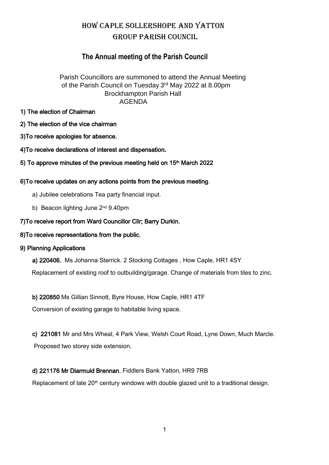# HOW CAPLE SOLLERSHOPE AND YATTON GROUP PARISH COUNCIL

# **The Annual meeting of the Parish Council**

Parish Councillors are summoned to attend the Annual Meeting of the Parish Council on Tuesday 3rd May 2022 at 8.00pm Brockhampton Parish Hall AGENDA

- 1) The election of Chairman
- 2) The election of the vice chairman
- 3)To receive apologies for absence.
- 4)To receive declarations of interest and dispensation.
- 5) To approve minutes of the previous meeting held on 15<sup>th</sup> March 2022

#### 6)To receive updates on any actions points from the previous meeting.

- a) Jubilee celebrations Tea party financial input.
- b) Beacon lighting June 2<sup>nd</sup> 9.40pm

#### 7)To receive report from Ward Councillor Cllr; Barry Durkin.

8)To receive representations from the public.

### 9) Planning Applications

a) 220406. Ms Johanna Sterrick. 2 Stocking Cottages , How Caple, HR1 4SY Replacement of existing roof to outbuilding/garage. Change of materials from tiles to zinc.

b) 220850 Ms Gillian Sinnott, Byre House, How Caple, HR1 4TF

Conversion of existing garage to habitable living space.

c) 221081 Mr and Mrs Wheal, 4 Park View, Welsh Court Road, Lyne Down, Much Marcle. Proposed two storey side extension.

#### d) 221176 Mr Diarmuid Brennan, Fiddlers Bank Yatton, HR9 7RB

Replacement of late 20<sup>th</sup> century windows with double glazed unit to a traditional design.